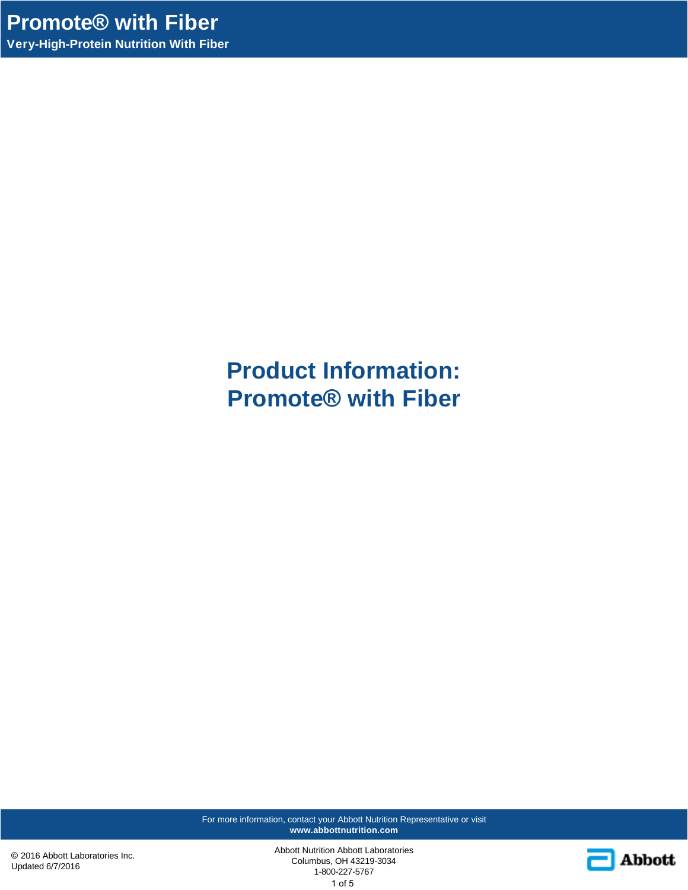**Product Information: Promote® with Fiber**

For more information, contact your Abbott Nutrition Representative or visit **www.abbottnutrition.com**

© 2016 Abbott Laboratories Inc. Updated 6/7/2016

Abbott Nutrition Abbott Laboratories Columbus, OH 43219-3034 1-800-227-5767 1 of 5

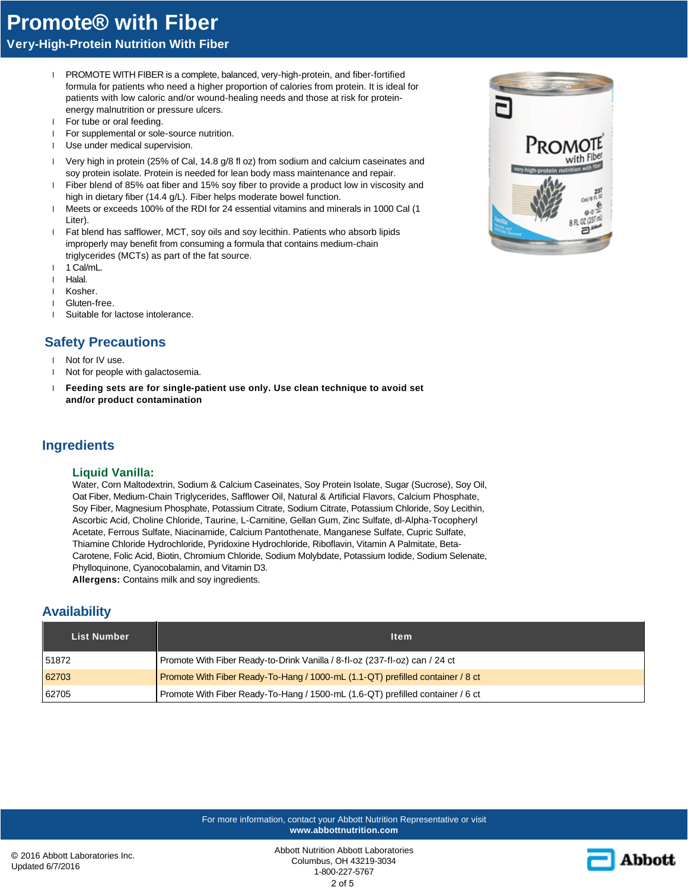# **Promote® with Fiber**

**Very-High-Protein Nutrition With Fiber**

- l PROMOTE WITH FIBER is a complete, balanced, very-high-protein, and fiber-fortified formula for patients who need a higher proportion of calories from protein. It is ideal for patients with low caloric and/or wound-healing needs and those at risk for proteinenergy malnutrition or pressure ulcers.
- l For tube or oral feeding.
- l For supplemental or sole-source nutrition.
- l Use under medical supervision.
- l Very high in protein (25% of Cal, 14.8 g/8 fl oz) from sodium and calcium caseinates and soy protein isolate. Protein is needed for lean body mass maintenance and repair.
- l Fiber blend of 85% oat fiber and 15% soy fiber to provide a product low in viscosity and high in dietary fiber (14.4 g/L). Fiber helps moderate bowel function.
- l Meets or exceeds 100% of the RDI for 24 essential vitamins and minerals in 1000 Cal (1 Liter).
- l Fat blend has safflower, MCT, soy oils and soy lecithin. Patients who absorb lipids improperly may benefit from consuming a formula that contains medium-chain triglycerides (MCTs) as part of the fat source.
- 1 1 Cal/mL.
- l Halal.
- l Kosher.
- l Gluten-free.
- l Suitable for lactose intolerance.

# **Safety Precautions**

- l Not for IV use.
- l Not for people with galactosemia.
- l **Feeding sets are for single-patient use only. Use clean technique to avoid set and/or product contamination**

### **Ingredients**

#### **Liquid Vanilla:**

Water, Corn Maltodextrin, Sodium & Calcium Caseinates, Soy Protein Isolate, Sugar (Sucrose), Soy Oil, Oat Fiber, Medium-Chain Triglycerides, Safflower Oil, Natural & Artificial Flavors, Calcium Phosphate, Soy Fiber, Magnesium Phosphate, Potassium Citrate, Sodium Citrate, Potassium Chloride, Soy Lecithin, Ascorbic Acid, Choline Chloride, Taurine, L-Carnitine, Gellan Gum, Zinc Sulfate, dl-Alpha-Tocopheryl Acetate, Ferrous Sulfate, Niacinamide, Calcium Pantothenate, Manganese Sulfate, Cupric Sulfate, Thiamine Chloride Hydrochloride, Pyridoxine Hydrochloride, Riboflavin, Vitamin A Palmitate, Beta-Carotene, Folic Acid, Biotin, Chromium Chloride, Sodium Molybdate, Potassium Iodide, Sodium Selenate, Phylloquinone, Cyanocobalamin, and Vitamin D3.

**Allergens:** Contains milk and soy ingredients.

## **Availability**

| <b>List Number</b> | <b>Item</b>                                                                    |
|--------------------|--------------------------------------------------------------------------------|
| 51872              | Promote With Fiber Ready-to-Drink Vanilla / 8-fl-oz (237-fl-oz) can / 24 ct    |
| 62703              | Promote With Fiber Ready-To-Hang / 1000-mL (1.1-QT) prefilled container / 8 ct |
| 62705              | Promote With Fiber Ready-To-Hang / 1500-mL (1.6-QT) prefilled container / 6 ct |

For more information, contact your Abbott Nutrition Representative or visit **www.abbottnutrition.com**

Abbott Nutrition Abbott Laboratories Columbus, OH 43219-3034 1-800-227-5767 2 of 5



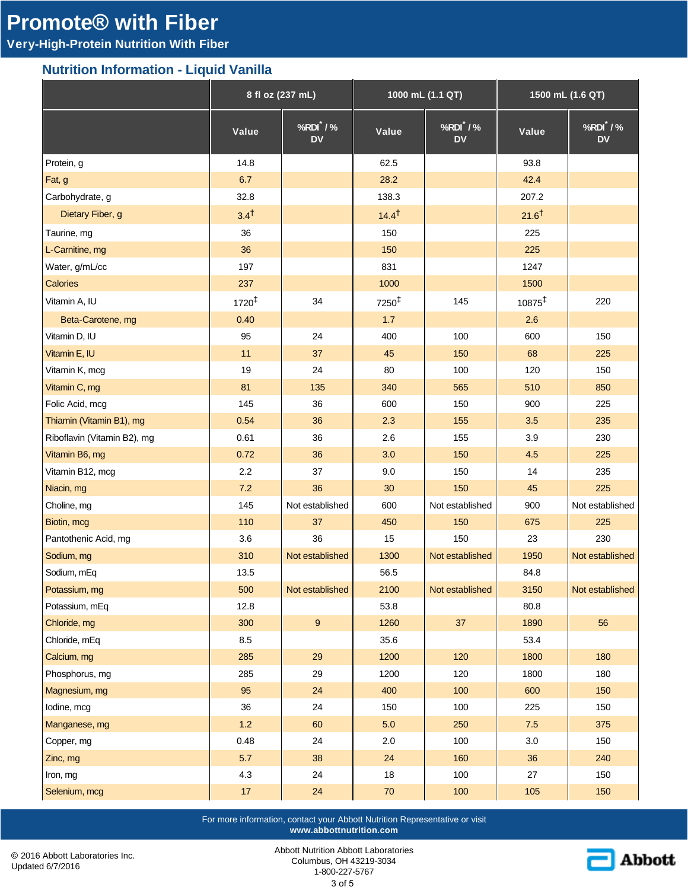# **Promote® with Fiber**

# **Very-High-Protein Nutrition With Fiber**

## **Nutrition Information - Liquid Vanilla**

|                             | 8 fl oz (237 mL)  |                          | 1000 mL (1.1 QT)  |                      | 1500 mL (1.6 QT)   |                      |
|-----------------------------|-------------------|--------------------------|-------------------|----------------------|--------------------|----------------------|
|                             | Value             | $%RDI^*$ /%<br><b>DV</b> | Value             | %RDI /%<br><b>DV</b> | Value              | %RDI /%<br><b>DV</b> |
| Protein, g                  | 14.8              |                          | 62.5              |                      | 93.8               |                      |
| Fat, g                      | 6.7               |                          | 28.2              |                      | 42.4               |                      |
| Carbohydrate, g             | 32.8              |                          | 138.3             |                      | 207.2              |                      |
| Dietary Fiber, g            | 3.4 <sup>†</sup>  |                          | $14.4^{\dagger}$  |                      | $21.6^{\dagger}$   |                      |
| Taurine, mg                 | 36                |                          | 150               |                      | 225                |                      |
| L-Carnitine, mg             | 36                |                          | 150               |                      | 225                |                      |
| Water, g/mL/cc              | 197               |                          | 831               |                      | 1247               |                      |
| Calories                    | 237               |                          | 1000              |                      | 1500               |                      |
| Vitamin A, IU               | $1720^{\ddagger}$ | 34                       | 7250 <sup>‡</sup> | 145                  | 10875 <sup>‡</sup> | 220                  |
| Beta-Carotene, mg           | 0.40              |                          | 1.7               |                      | 2.6                |                      |
| Vitamin D, IU               | 95                | 24                       | 400               | 100                  | 600                | 150                  |
| Vitamin E, IU               | 11                | 37                       | 45                | 150                  | 68                 | 225                  |
| Vitamin K, mcg              | 19                | 24                       | 80                | 100                  | 120                | 150                  |
| Vitamin C, mg               | 81                | 135                      | 340               | 565                  | 510                | 850                  |
| Folic Acid, mcg             | 145               | 36                       | 600               | 150                  | 900                | 225                  |
| Thiamin (Vitamin B1), mg    | 0.54              | 36                       | 2.3               | 155                  | 3.5                | 235                  |
| Riboflavin (Vitamin B2), mg | 0.61              | 36                       | 2.6               | 155                  | 3.9                | 230                  |
| Vitamin B6, mg              | 0.72              | 36                       | 3.0               | 150                  | 4.5                | 225                  |
| Vitamin B12, mcg            | 2.2               | 37                       | 9.0               | 150                  | 14                 | 235                  |
| Niacin, mg                  | 7.2               | 36                       | 30                | 150                  | 45                 | 225                  |
| Choline, mg                 | 145               | Not established          | 600               | Not established      | 900                | Not established      |
| Biotin, mcg                 | 110               | 37                       | 450               | 150                  | 675                | 225                  |
| Pantothenic Acid, mg        | 3.6               | 36                       | 15                | 150                  | 23                 | 230                  |
| Sodium, mg                  | 310               | Not established          | 1300              | Not established      | 1950               | Not established      |
| Sodium, mEq                 | 13.5              |                          | 56.5              |                      | 84.8               |                      |
| Potassium, mg               | 500               | Not established          | 2100              | Not established      | 3150               | Not established      |
| Potassium, mEq              | 12.8              |                          | 53.8              |                      | 80.8               |                      |
| Chloride, mg                | 300               | $\boldsymbol{9}$         | 1260              | 37                   | 1890               | 56                   |
| Chloride, mEq               | 8.5               |                          | 35.6              |                      | 53.4               |                      |
| Calcium, mg                 | 285               | 29                       | 1200              | 120                  | 1800               | 180                  |
| Phosphorus, mg              | 285               | 29                       | 1200              | 120                  | 1800               | 180                  |
| Magnesium, mg               | 95                | 24                       | 400               | 100                  | 600                | 150                  |
| lodine, mcg                 | 36                | 24                       | 150               | 100                  | 225                | 150                  |
| Manganese, mg               | $1.2$             | 60                       | $5.0$             | 250                  | $7.5$              | 375                  |
| Copper, mg                  | 0.48              | 24                       | 2.0               | 100                  | $3.0\,$            | 150                  |
| Zinc, mg                    | 5.7               | 38                       | 24                | 160                  | 36                 | 240                  |
| Iron, mg                    | 4.3               | 24                       | $18\,$            | 100                  | 27                 | 150                  |
| Selenium, mcg               | $17$              | 24                       | $70\,$            | 100                  | 105                | 150                  |

For more information, contact your Abbott Nutrition Representative or visit **www.abbottnutrition.com**

© 2016 Abbott Laboratories Inc. Updated 6/7/2016

Abbott Nutrition Abbott Laboratories Columbus, OH 43219-3034 1-800-227-5767

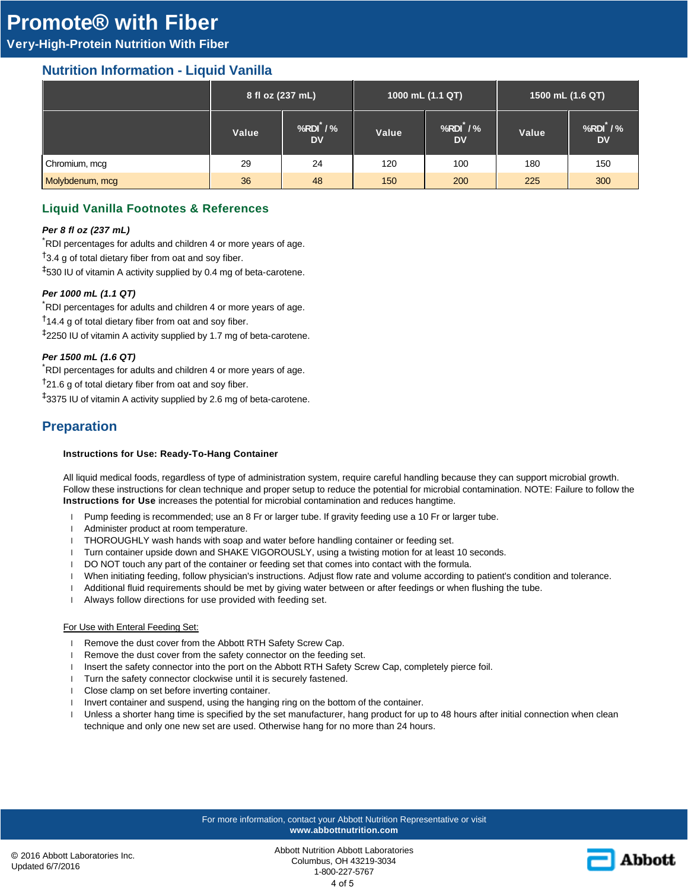# **Promote® with Fiber**

# **Very-High-Protein Nutrition With Fiber**

## **Nutrition Information - Liquid Vanilla**

|                 | 8 fl oz (237 mL) |                                 | 1000 mL (1.1 QT) |                          | 1500 mL (1.6 QT) |                          |
|-----------------|------------------|---------------------------------|------------------|--------------------------|------------------|--------------------------|
|                 | Value            | $%RDI^{\prime}/\%$<br><b>DV</b> | Value            | $%RDI^*$ /%<br><b>DV</b> | Value            | $%RDI^*$ /%<br><b>DV</b> |
| Chromium, mcg   | 29               | 24                              | 120              | 100                      | 180              | 150                      |
| Molybdenum, mcg | 36               | 48                              | 150              | 200                      | 225              | 300                      |

## **Liquid Vanilla Footnotes & References**

#### *Per 8 fl oz (237 mL)*

\*RDI percentages for adults and children 4 or more years of age.

 $\uparrow$ 3.4 g of total dietary fiber from oat and soy fiber.

‡530 IU of vitamin A activity supplied by 0.4 mg of beta-carotene.

#### *Per 1000 mL (1.1 QT)*

RDI percentages for adults and children 4 or more years of age.  $\dagger$ 14.4 g of total dietary fiber from oat and soy fiber. ‡2250 IU of vitamin A activity supplied by 1.7 mg of beta-carotene.

#### *Per 1500 mL (1.6 QT)*

\*RDI percentages for adults and children 4 or more years of age.

 $<sup>†</sup>21.6$  g of total dietary fiber from oat and soy fiber.</sup>

‡3375 IU of vitamin A activity supplied by 2.6 mg of beta-carotene.

## **Preparation**

#### **Instructions for Use: Ready-To-Hang Container**

All liquid medical foods, regardless of type of administration system, require careful handling because they can support microbial growth. Follow these instructions for clean technique and proper setup to reduce the potential for microbial contamination. NOTE: Failure to follow the **Instructions for Use** increases the potential for microbial contamination and reduces hangtime.

- l Pump feeding is recommended; use an 8 Fr or larger tube. If gravity feeding use a 10 Fr or larger tube.
- l Administer product at room temperature.
- l THOROUGHLY wash hands with soap and water before handling container or feeding set.
- l Turn container upside down and SHAKE VIGOROUSLY, using a twisting motion for at least 10 seconds.
- l DO NOT touch any part of the container or feeding set that comes into contact with the formula.
- l When initiating feeding, follow physician's instructions. Adjust flow rate and volume according to patient's condition and tolerance.
- l Additional fluid requirements should be met by giving water between or after feedings or when flushing the tube.
- l Always follow directions for use provided with feeding set.

#### For Use with Enteral Feeding Set:

- 1 Remove the dust cover from the Abbott RTH Safety Screw Cap.
- 1 Remove the dust cover from the safety connector on the feeding set.
- 1 Insert the safety connector into the port on the Abbott RTH Safety Screw Cap, completely pierce foil.
- 1 Turn the safety connector clockwise until it is securely fastened.
- l Close clamp on set before inverting container.
- l Invert container and suspend, using the hanging ring on the bottom of the container.
- l Unless a shorter hang time is specified by the set manufacturer, hang product for up to 48 hours after initial connection when clean technique and only one new set are used. Otherwise hang for no more than 24 hours.

#### For more information, contact your Abbott Nutrition Representative or visit **www.abbottnutrition.com**

Abbott Nutrition Abbott Laboratories Columbus, OH 43219-3034 1-800-227-5767 4 of 5